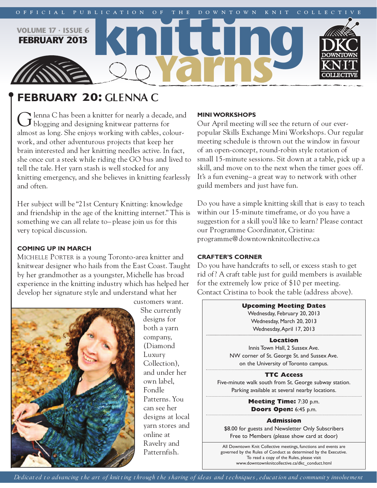

# **february 20: GLENNA C**

 $\blacktriangleright$  lenna C has been a knitter for nearly a decade, and blogging and designing knitwear patterns for almost as long. She enjoys working with cables, colourwork, and other adventurous projects that keep her brain interested and her knitting needles active. In fact, she once cut a steek while riding the GO bus and lived to tell the tale. Her yarn stash is well stocked for any knitting emergency, and she believes in knitting fearlessly and often.

Her subject will be "21st Century Knitting: knowledge and friendship in the age of the knitting internet." This is something we can all relate to– please join us for this very topical discussion.

# **coming up in march**

MICHELLE PORTER is a young Toronto-area knitter and knitwear designer who hails from the East Coast. Taught by her grandmother as a youngster, Michelle has broad experience in the knitting industry which has helped her develop her signature style and understand what her



customers want. She currently designs for both a yarn company, (Diamond Luxury Collection), and under her own label, Fondle Patterns. You can see her designs at local yarn stores and online at Ravelry and Patternfish.

# **miniworkshops**

Our April meeting will see the return of our everpopular Skills Exchange Mini Workshops. Our regular meeting schedule is thrown out the window in favour of an open-concept, round-robin style rotation of small 15-minute sessions. Sit down at a table, pick up a skill, and move on to the next when the timer goes off. It's a fun evening– a great way to network with other guild members and just have fun.

Do you have a simple knitting skill that is easy to teach within our 15-minute timeframe, or do you have a suggestion for a skill you'd like to learn? Please contact our Programme Coordinator, Cristina: programme@downtownknitcollective.ca

# **crafter's corner**

Do you have handcrafts to sell, or excess stash to get rid of? A craft table just for guild members is available for the extremely low price of \$10 per meeting. Contact Cristina to book the table (address above).

> **Upcoming Meeting Dates** Wednesday, February 20, 2013 Wednesday, March 20, 2013 Wednesday,April 17, 2013

# **Location**

Innis Town Hall, 2 Sussex Ave. NW corner of St. George St. and Sussex Ave. on the University of Toronto campus.

# **TTC Access**

Five-minute walk south from St. George subway station. Parking available at several nearby locations.

> **Meeting Time:** 7:30 p.m. **Doors Open:** 6:45 p.m.

# **Admission**

\$8.00 for guests and Newsletter Only Subscribers Free to Members (please show card at door)

All Downtown Knit Collective meetings, functions and events are governed by the Rules of Conduct as determined by the Executive. To read a copy of the Rules, please visit www.downtownknitcollective.ca/dkc\_conduct.html

Dedicated to advancing the art of knitting through the sharing of ideas and techniques, education and community involvement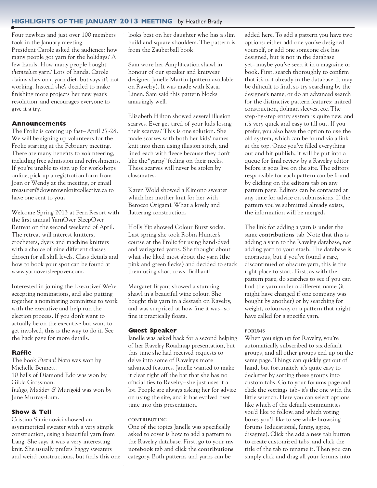# **highlights of the january 2013 meeting** by Heather Brady

Four newbies and just over 100 members took in the January meeting. President Carole asked the audience: how many people got yarn for the holidays? A few hands. How many people bought *themselves* yarn? Lots of hands. Carole claims she's on a yarn diet, but says it's not working. Instead she's decided to make finishing more projects her new year's resolution, and encourages everyone to give it a try.

# **Announcements**

The Frolic is coming up fast–April 27-28. We will be signing up volunteers for the Frolic starting at the February meeting. There are many benefits to volunteering, including free admission and refreshments. If you're unable to sign up for workshops online, pick up a registration form from Joan or Wendy at the meeting, or email treasurer@downtownknitcollective.ca to have one sent to you.

Welcome Spring 2013 at Fern Resort with the first annual YarnOver SleepOver Retreat on the second weekend of April. The retreat will interest knitters, crocheters, dyers and machine knitters with a choice of nine different classes chosen for all skill levels. Class details and how to book your spot can be found at www.yarnoversleepover.com.

Interested in joining the Executive? We're accepting nominations, and also putting together a nominating committee to work with the executive and help run the election process. If you don't want to actually be on the executive but want to get involved, this is the way to do it. See the back page for more details.

# **Raffle**

The book *Eternal Noro* was won by Michelle Bennett. 10 balls of Diamond Edo was won by Gilda Grossman. *Indigo, Madder & Marigold* was won by June Murray-Lum.

# **Show & Tell**

Cristina Simionovici showed an asymmetrical sweater with a very simple construction, using a beautiful yarn from Lang. She says it was a very interesting knit. She usually prefers baggy sweaters and weird constructions, but finds this one looks best on her daughter who has a slim build and square shoulders. The pattern is from the Zauberball book.

Sam wore her Amplification shawl in honour of our speaker and knitwear designer, Janelle Martin (pattern available on Ravelry). It was made with Katia Linen. Sam said this pattern blocks amazingly well.

Eliz abeth Hilton showed several illusion scarves. Ever get tired of your kids losing their scarves? This is one solution. She made scarves with both her kids' names knit into them using illusion stitch, and lined each with fleece because they don't like the "yarny" feeling on their necks. These scarves will never be stolen by classmates.

Karen Wold showed a Kimono sweater which her mother knit for her with Berocco Origami. What a lovely and flattering construction.

Holly Yip showed Colour Burst socks. Last spring she took Robin Hunter's course at the Frolic for using hand-dyed and variegated yarns. She thought about what she liked most about the yarn (the pink and green flecks) and decided to stack them using short rows. Brilliant!

Margaret Bryant showed a stunning shawl in a beautiful wine colour. She bought this yarn in a destash on Ravelry, and was surprised at how fine it was– so fine it practically floats.

# **Guest Speaker**

Janelle was asked back for a second helping of her Ravelry Roadmap presentation, but this time she had received requests to delve into some of Ravelry's more advanced features. Janelle wanted to make it clear right off the bat that she has no official ties to Ravelry– she just uses it a lot. People are always asking her for advice on using the site, and it has evolved over time into this presentation.

# **contributing**

One of the topics Janelle was specifically asked to cover is how to add a pattern to the Ravelry database. First, go to your **my notebook** tab and click the **contributions** category. Both patterns and yarns can be

added here. To add a pattern you have two options: either add one you've designed yourself, or add one someone else has designed, but is not in the database yet–maybe you've seen it in a magazine or book. First, search thoroughly to confirm that it's not already in the database. It may be difficult to find, so try searching by the designer's name, or do an advanced search for the distinctive pattern features: mitred construction, dolman sleeves, etc. The step-by-step entry system is quite new, and it's very quick and easy to fill out. If you prefer, you also have the option to use the old system, which can be found via a link at the top. Once you've filled everything out and hit **publish, i**t will be put into a queue for final review by a Ravelry editor before it goes live on the site. The editors responsible for each pattern can be found by clicking on the **editors** tab on any pattern page. Editors can be contacted at any time for advice on submissions. If the pattern you've submitted already exists, the information will be merged.

The link for adding a yarn is under the same **contributions** tab. Note that this is adding a yarn to the Ravelry database, not adding yarn to your stash. The database is enormous, but if you've found a rare, discontinued or obscure yarn, this is the right place to start. First, as with the pattern page, do searches to see if you can find the yarn under a different name (it might have changed if one company was bought by another) or by searching for weight, colourway or a pattern that might have called for a specific yarn.

# **forums**

When you sign up for Ravelry, you're automatically subscribed to six default groups, and all other groups end up on the same page. Things can quickly get out of hand, but fortunately it's quite easy to declutter by sorting these groups into custom tabs. Go to your **forums** page and click the **settings** tab**–**it's the one with the little wrench. Here you can select options like which of the default communities you'd like to follow, and which voting boxes you'd like to see while browsing forums (educational, funny, agree, disagree). Click the **add a new tab** button to create customiz ed tabs, and click the title of the tab to rename it. Then you can simply click and drag all your forums into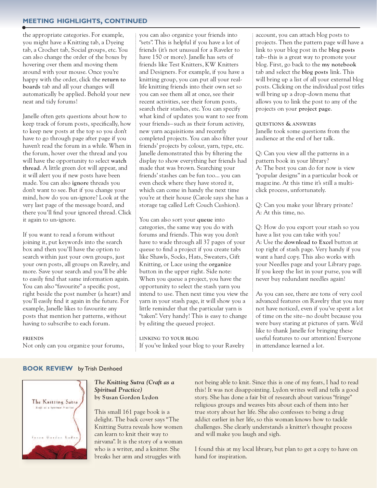# **meeting highlights, continued**

the appropriate categories. For example, you might have a Knitting tab, a Dyeing tab, a Crochet tab, Social groups, etc. You can also change the order of the boxes by hovering over them and moving them around with your mouse. Once you're happy with the order, click the **return to boards** tab and all your changes will automatically be applied. Behold your new neat and tidy forums!

Janelle often gets questions about how to keep track of forum posts, specifically, how to keep new posts at the top so you don't have to go through page after page if you haven't read the forum in a while. When in the forum, hover over the thread and you will have the opportunity to select **watch thread**. A little green dot will appear, and it will alert you if new posts have been made. You can also **ignore** threads you don't want to see. But if you change your mind, how do you un-ignore? Look at the very last page of the message board, and there you'll find your ignored thread. Click it again to un-ignore.

If you want to read a forum without joining it, put keywords into the search box and then you'll have the option to search within just your own groups, just your own posts, all groups on Ravelry, and more. Save your search and you'll be able to easily find that same information again. You can also "favourite" a specific post, right beside the post number (a heart) and you'll easily find it again in the future. For example, Janelle likes to favourite any posts that mention her patterns, without having to subscribe to each forum.

#### **friends**

Not only can you organiz e your forums,

you can also organiz e your friends into "sets". This is helpful if you have a lot of friends (it's not unusual for a Raveler to have 150 or more). Janelle has sets of friends like Test Knitters, KW Knitters and Designers. For example, if you have a knitting group, you can put all your reallife knitting friends into their own set so you can see them all at once, see their recent activities, see their forum posts, search their stashes, etc. You can specify what kind of updates you want to see from your friends– such as their forum activity, new yarn acquisitions and recently completed projects. You can also filter your friends' projects by colour, yarn, type, etc. Janelle demonstrated this by filtering the display to show everything her friends had made that was brown. Searching your friends' stashes can be fun too... you can even check where they have stored it, which can come in handy the next time you're at their house (Carole says she has a storage tag called Left Couch Cushion).

You can also sort your **queue** into categories, the same way you do with forums and friends. This way you don't have to wade through all 37 pages of your queue to find a project if you create tabs like Shawls, Socks, Hats, Sweaters, Gift Knitting, or Lace using the **organiz e** button in the upper right. Side note: When you queue a project, you have the opportunity to select the stash yarn you intend to use. Then next time you view the yarn in your stash page, it will show you a little reminder that the particular yarn is "taken". Very handy! This is easy to change by editing the queued project.

**Linking to your bLog** If you've linked your blog to your Ravelry account, you can attach blog posts to projects. Then the pattern page will have a link to your blog post in the **blog posts** tab– this is a great way to promote your blog. First, go back to the **my notebook** tab and select the **blog posts** link. This will bring up a list of all your external blog posts. Clicking on the individual post titles will bring up a drop-down menu that allows you to link the post to any of the projects on your **project page**.

**questions & answers** Janelle took some questions from the audience at the end of her talk.

Q: Can you view all the patterns in a pattern book in your library? A: The best you can do for now is view "popular designs" in a particular book or magazine. At this time it's still a multiclick process, unfortunately.

Q: Can you make your library private? A: At this time, no.

Q: How do you export your stash so you have a list you can take with you? A: Use the **download to excel** button at top right of stash page. Very handy if you want a hard copy. This also works with your Needles page and your Library page. If you keep the list in your purse, you will never buy redundant needles again!

As you can see, there are tons of very cool advanced features on Ravelry that you may not have noticed, even if you've spent a lot of time on the site– no doubt because you were busy staring at pictures of yarn. We'd like to thank Janelle for bringing these useful features to our attention! Everyone in attendance learned a lot.

# **BOOK REVIEW** by Trish Denhoed



#### *The Knitting Sutra (Craft as a Spiritual Practice)* **by susan gordon Lydon**

This small 161 page book is a delight. The back cover says "The Knitting Sutra reveals how women can learn to knit their way to nirvana". It is the story of a woman who is a writer, and a knitter. She breaks her arm and struggles with

not being able to knit. Since this is one of my fears, I had to read this! It was not disappointing. Lydon writes well and tells a good story. She has done a fair bit of research about various "fringe" religious groups and weaves bits about each of them into her true story about her life. She also confesses to being a drug addict earlier in her life, so this woman knows how to tackle challenges. She clearly understands a knitter's thought process and will make you laugh and sigh.

I found this at my local library, but plan to get a copy to have on hand for inspiration.